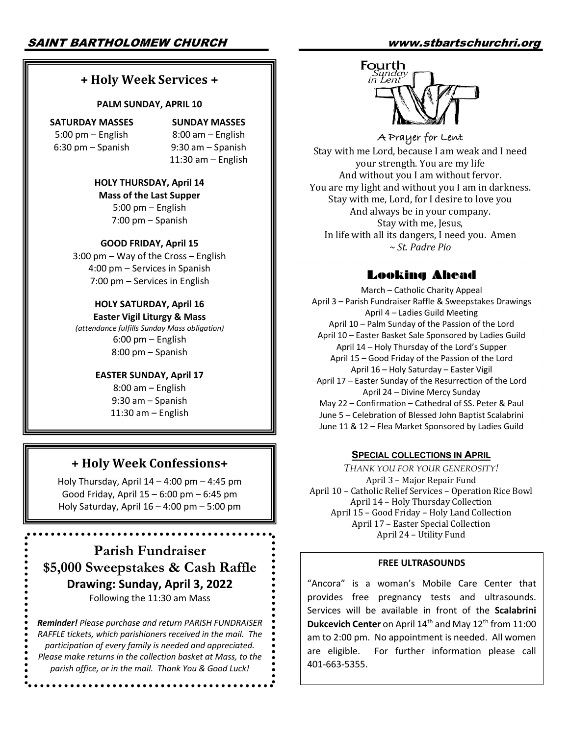# **+ Holy Week Services +**

#### **PALM SUNDAY, APRIL 10**

**SATURDAY MASSES** 5:00 pm – English 6:30 pm – Spanish

**SUNDAY MASSES**

8:00 am – English 9:30 am – Spanish 11:30 am – English

**HOLY THURSDAY, April 14 Mass of the Last Supper** 5:00 pm – English 7:00 pm – Spanish

### **GOOD FRIDAY, April 15**

3:00 pm – Way of the Cross – English 4:00 pm – Services in Spanish 7:00 pm – Services in English

## **HOLY SATURDAY, April 16**

**Easter Vigil Liturgy & Mass** *(attendance fulfills Sunday Mass obligation)* 6:00 pm – English 8:00 pm – Spanish

### **EASTER SUNDAY, April 17**

8:00 am – English 9:30 am – Spanish 11:30 am – English

# **+ Holy Week Confessions+**

Holy Thursday, April 14 – 4:00 pm – 4:45 pm Good Friday, April 15 – 6:00 pm – 6:45 pm Holy Saturday, April 16 – 4:00 pm – 5:00 pm

**Parish Fundraiser \$5,000 Sweepstakes & Cash Raffle Drawing: Sunday, April 3, 2022** Following the 11:30 am Mass

*Reminder! Please purchase and return PARISH FUNDRAISER RAFFLE tickets, which parishioners received in the mail. The participation of every family is needed and appreciated. Please make returns in the collection basket at Mass, to the parish office, or in the mail. Thank You & Good Luck!*

**\*\*\*\*\*\*\*\*\*\*\*\*\*\*** 



**A Prayer for Lent** Stay with me Lord, because I am weak and I need your strength. You are my life And without you I am without fervor. You are my light and without you I am in darkness. Stay with me, Lord, for I desire to love you And always be in your company. Stay with me, Jesus, In life with all its dangers, I need you. Amen *~ St. Padre Pio*

# Looking Ahead

March – Catholic Charity Appeal April 3 – Parish Fundraiser Raffle & Sweepstakes Drawings April 4 – Ladies Guild Meeting April 10 – Palm Sunday of the Passion of the Lord April 10 – Easter Basket Sale Sponsored by Ladies Guild April 14 – Holy Thursday of the Lord's Supper April 15 – Good Friday of the Passion of the Lord April 16 – Holy Saturday – Easter Vigil April 17 – Easter Sunday of the Resurrection of the Lord April 24 – Divine Mercy Sunday May 22 – Confirmation – Cathedral of SS. Peter & Paul June 5 – Celebration of Blessed John Baptist Scalabrini June 11 & 12 – Flea Market Sponsored by Ladies Guild

### **SPECIAL COLLECTIONS IN APRIL**

*THANK YOU FOR YOUR GENEROSITY!* April 3 – Major Repair Fund April 10 - Catholic Relief Services - Operation Rice Bowl April 14 - Holy Thursday Collection April 15 - Good Friday - Holy Land Collection April 17 - Easter Special Collection April 24 - Utility Fund

### **FREE ULTRASOUNDS**

"Ancora" is a woman's Mobile Care Center that provides free pregnancy tests and ultrasounds. Services will be available in front of the **Scalabrini Dukcevich Center** on April 14<sup>th</sup> and May 12<sup>th</sup> from 11:00 am to 2:00 pm. No appointment is needed. All women are eligible. For further information please call 401-663-5355.